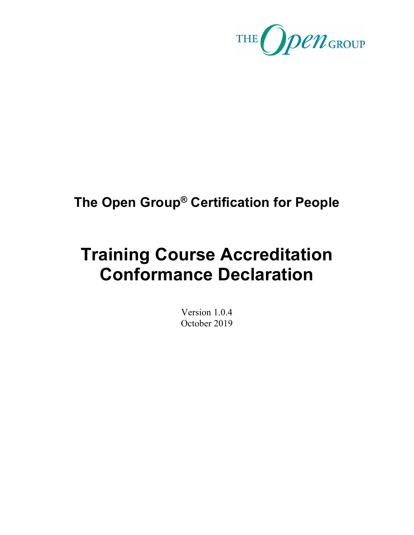

## **The Open Group® Certification for People**

# **Training Course Accreditation Conformance Declaration**

Version 1.0.4 October 2019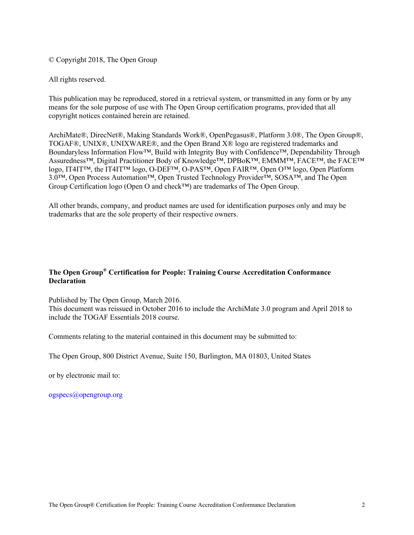© Copyright 2018, The Open Group

All rights reserved.

This publication may be reproduced, stored in a retrieval system, or transmitted in any form or by any means for the sole purpose of use with The Open Group certification programs, provided that all copyright notices contained herein are retained.

ArchiMate®, DirecNet®, Making Standards Work®, OpenPegasus®, Platform 3.0®, The Open Group®, TOGAF®, UNIX®, UNIXWARE®, and the Open Brand X® logo are registered trademarks and Boundaryless Information Flow™, Build with Integrity Buy with Confidence™, Dependability Through Assuredness™, Digital Practitioner Body of Knowledge™, DPBoK™, EMMM™, FACE™, the FACE™ logo, IT4IT™, the IT4IT™ logo, O-DEF™, O-PAS™, Open FAIR™, Open O™ logo, Open Platform 3.0™, Open Process Automation™, Open Trusted Technology Provider™, SOSA™, and The Open Group Certification logo (Open O and check™) are trademarks of The Open Group.

All other brands, company, and product names are used for identification purposes only and may be trademarks that are the sole property of their respective owners.

#### **The Open Group® Certification for People: Training Course Accreditation Conformance Declaration**

Published by The Open Group, March 2016. This document was reissued in October 2016 to include the ArchiMate 3.0 program and April 2018 to include the TOGAF Essentials 2018 course.

Comments relating to the material contained in this document may be submitted to:

The Open Group, 800 District Avenue, Suite 150, Burlington, MA 01803, United States

or by electronic mail to:

ogspecs@opengroup.org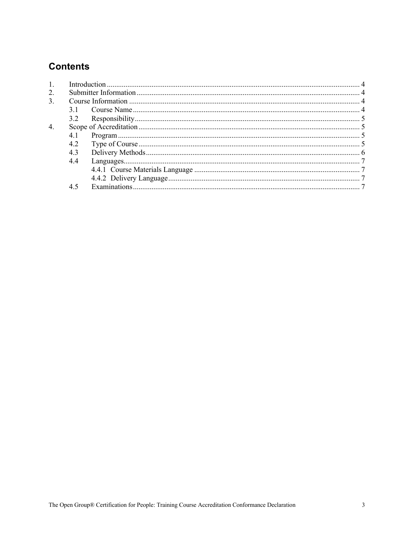## **Contents**

| 1. |     |  |  |  |
|----|-----|--|--|--|
| 2. |     |  |  |  |
| 3. |     |  |  |  |
|    |     |  |  |  |
|    |     |  |  |  |
| 4. |     |  |  |  |
|    |     |  |  |  |
|    | 4.2 |  |  |  |
|    | 4.3 |  |  |  |
|    | 4.4 |  |  |  |
|    |     |  |  |  |
|    |     |  |  |  |
|    | 4.5 |  |  |  |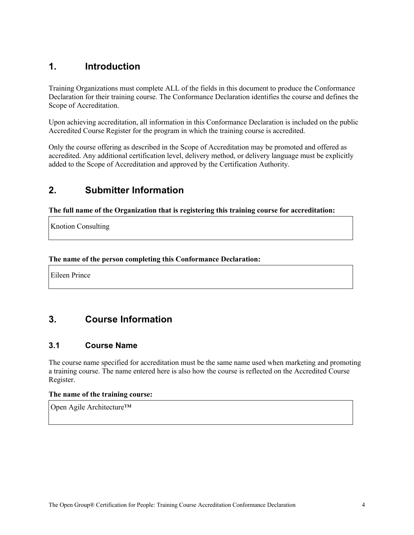## **1. Introduction**

Training Organizations must complete ALL of the fields in this document to produce the Conformance Declaration for their training course. The Conformance Declaration identifies the course and defines the Scope of Accreditation.

Upon achieving accreditation, all information in this Conformance Declaration is included on the public Accredited Course Register for the program in which the training course is accredited.

Only the course offering as described in the Scope of Accreditation may be promoted and offered as accredited. Any additional certification level, delivery method, or delivery language must be explicitly added to the Scope of Accreditation and approved by the Certification Authority.

### **2. Submitter Information**

**The full name of the Organization that is registering this training course for accreditation:**

Knotion Consulting

#### **The name of the person completing this Conformance Declaration:**

Eileen Prince

## **3. Course Information**

#### **3.1 Course Name**

The course name specified for accreditation must be the same name used when marketing and promoting a training course. The name entered here is also how the course is reflected on the Accredited Course Register.

#### **The name of the training course:**

Open Agile Architecture™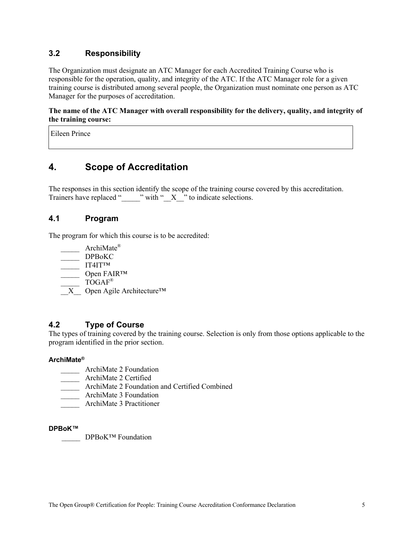#### **3.2 Responsibility**

The Organization must designate an ATC Manager for each Accredited Training Course who is responsible for the operation, quality, and integrity of the ATC. If the ATC Manager role for a given training course is distributed among several people, the Organization must nominate one person as ATC Manager for the purposes of accreditation.

**The name of the ATC Manager with overall responsibility for the delivery, quality, and integrity of the training course:**

Eileen Prince

## **4. Scope of Accreditation**

The responses in this section identify the scope of the training course covered by this accreditation. Trainers have replaced "\_\_\_\_\_\_" with "\_X\_\_\_" to indicate selections.

#### **4.1 Program**

The program for which this course is to be accredited:

- $ArchiMate^{\circledR}$
- \_\_\_\_\_ DPBoKC
- \_\_\_\_\_ IT4IT™
- $\equiv$  Open FAIR™
- $\mathrm{TOGAF}^{\circledR}$
- $\overline{X}$  Open Agile Architecture<sup>™</sup>

#### **4.2 Type of Course**

The types of training covered by the training course. Selection is only from those options applicable to the program identified in the prior section.

#### **ArchiMate®**

- ArchiMate 2 Foundation
- \_\_\_\_\_ ArchiMate 2 Certified
- \_\_\_\_\_ ArchiMate 2 Foundation and Certified Combined
- \_\_\_\_\_ ArchiMate 3 Foundation
- \_\_\_\_\_ ArchiMate 3 Practitioner

#### **DPBoK™**

**DPBoK™ Foundation**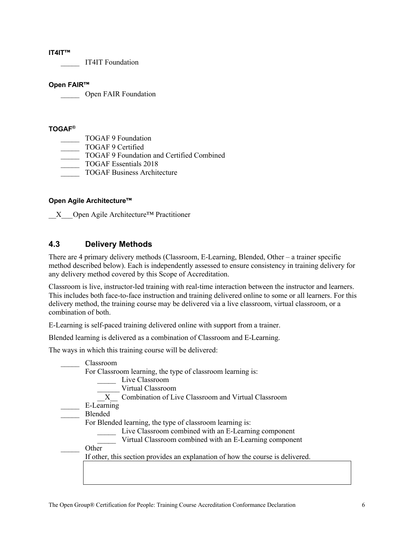#### **IT4IT™**

\_\_\_\_\_ IT4IT Foundation

#### **Open FAIR™**

Open FAIR Foundation

#### **TOGAF®**

- TOGAF 9 Foundation
- TOGAF 9 Certified
- TOGAF 9 Foundation and Certified Combined
- \_\_\_\_\_ TOGAF Essentials 2018
- \_\_\_\_\_ TOGAF Business Architecture

#### **Open Agile Architecture™**

 $X$  Open Agile Architecture<sup>™</sup> Practitioner

#### **4.3 Delivery Methods**

There are 4 primary delivery methods (Classroom, E-Learning, Blended, Other – a trainer specific method described below). Each is independently assessed to ensure consistency in training delivery for any delivery method covered by this Scope of Accreditation.

Classroom is live, instructor-led training with real-time interaction between the instructor and learners. This includes both face-to-face instruction and training delivered online to some or all learners. For this delivery method, the training course may be delivered via a live classroom, virtual classroom, or a combination of both.

E-Learning is self-paced training delivered online with support from a trainer.

Blended learning is delivered as a combination of Classroom and E-Learning.

The ways in which this training course will be delivered:

| Classroom  |                                                                                |
|------------|--------------------------------------------------------------------------------|
|            | For Classroom learning, the type of classroom learning is:                     |
|            | Live Classroom                                                                 |
|            | Virtual Classroom                                                              |
|            | X Combination of Live Classroom and Virtual Classroom                          |
| E-Learning |                                                                                |
| Blended    |                                                                                |
|            | For Blended learning, the type of classroom learning is:                       |
|            | Live Classroom combined with an E-Learning component                           |
|            | Virtual Classroom combined with an E-Learning component                        |
| Other      |                                                                                |
|            | If other, this section provides an explanation of how the course is delivered. |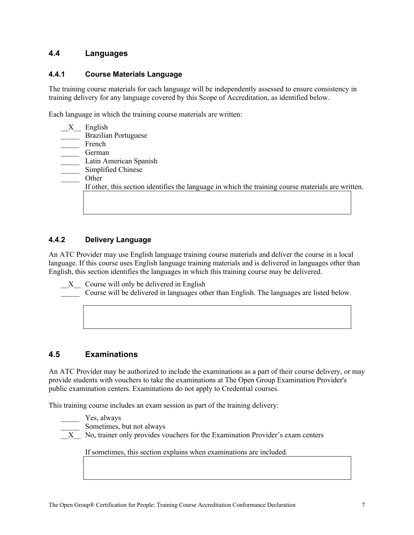#### **4.4 Languages**

#### **4.4.1 Course Materials Language**

The training course materials for each language will be independently assessed to ensure consistency in training delivery for any language covered by this Scope of Accreditation, as identified below.

Each language in which the training course materials are written:

| English                                                                                            |
|----------------------------------------------------------------------------------------------------|
| <b>Brazilian Portuguese</b>                                                                        |
| French                                                                                             |
| German                                                                                             |
| Latin American Spanish                                                                             |
| Simplified Chinese                                                                                 |
| Other                                                                                              |
| If other, this section identifies the language in which the training course materials are written. |
|                                                                                                    |
|                                                                                                    |
|                                                                                                    |

#### **4.4.2 Delivery Language**

An ATC Provider may use English language training course materials and deliver the course in a local language. If this course uses English language training materials and is delivered in languages other than English, this section identifies the languages in which this training course may be delivered.

X Course will only be delivered in English

Course will be delivered in languages other than English. The languages are listed below.

#### **4.5 Examinations**

An ATC Provider may be authorized to include the examinations as a part of their course delivery, or may provide students with vouchers to take the examinations at The Open Group Examination Provider's public examination centers. Examinations do not apply to Credential courses.

This training course includes an exam session as part of the training delivery:

Yes, always

Sometimes, but not always

 $\overline{X}$  No, trainer only provides vouchers for the Examination Provider's exam centers

If sometimes, this section explains when examinations are included.